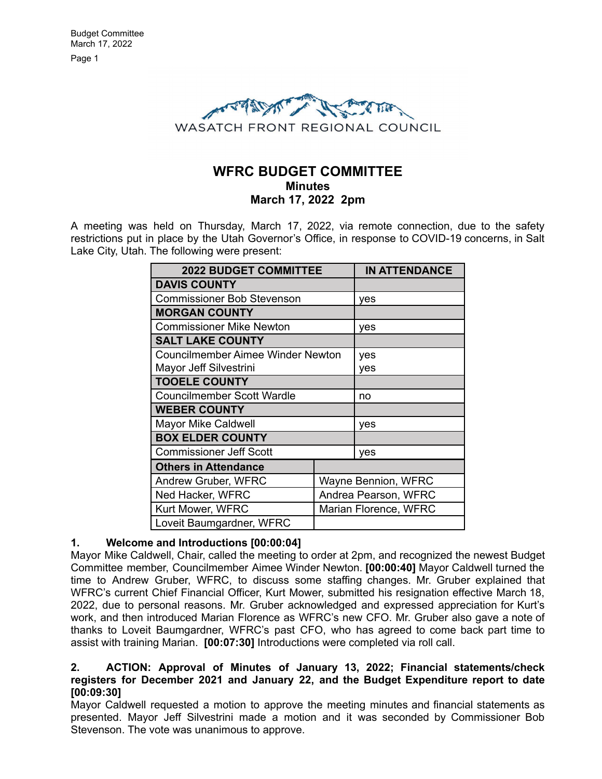Page 1



# **WFRC BUDGET COMMITTEE Minutes March 17, 2022 2pm**

A meeting was held on Thursday, March 17, 2022, via remote connection, due to the safety restrictions put in place by the Utah Governor's Office, in response to COVID-19 concerns, in Salt Lake City, Utah. The following were present:

| <b>2022 BUDGET COMMITTEE</b>             |                       | <b>IN ATTENDANCE</b> |
|------------------------------------------|-----------------------|----------------------|
| <b>DAVIS COUNTY</b>                      |                       |                      |
| <b>Commissioner Bob Stevenson</b>        |                       | yes                  |
| <b>MORGAN COUNTY</b>                     |                       |                      |
| <b>Commissioner Mike Newton</b>          |                       | yes                  |
| <b>SALT LAKE COUNTY</b>                  |                       |                      |
| <b>Councilmember Aimee Winder Newton</b> |                       | yes                  |
| Mayor Jeff Silvestrini                   |                       | yes                  |
| <b>TOOELE COUNTY</b>                     |                       |                      |
| <b>Councilmember Scott Wardle</b>        |                       | no                   |
| <b>WEBER COUNTY</b>                      |                       |                      |
| <b>Mayor Mike Caldwell</b>               |                       | yes                  |
| <b>BOX ELDER COUNTY</b>                  |                       |                      |
| <b>Commissioner Jeff Scott</b>           |                       | yes                  |
| <b>Others in Attendance</b>              |                       |                      |
| <b>Andrew Gruber, WFRC</b>               | Wayne Bennion, WFRC   |                      |
| Ned Hacker, WFRC                         | Andrea Pearson, WFRC  |                      |
| Kurt Mower, WFRC                         | Marian Florence, WFRC |                      |
| Loveit Baumgardner, WFRC                 |                       |                      |

# **1. Welcome and Introductions [00:00:04]**

Mayor Mike Caldwell, Chair, called the meeting to order at 2pm, and recognized the newest Budget Committee member, Councilmember Aimee Winder Newton. **[00:00:40]** Mayor Caldwell turned the time to Andrew Gruber, WFRC, to discuss some staffing changes. Mr. Gruber explained that WFRC's current Chief Financial Officer, Kurt Mower, submitted his resignation effective March 18, 2022, due to personal reasons. Mr. Gruber acknowledged and expressed appreciation for Kurt's work, and then introduced Marian Florence as WFRC's new CFO. Mr. Gruber also gave a note of thanks to Loveit Baumgardner, WFRC's past CFO, who has agreed to come back part time to assist with training Marian. **[00:07:30]** Introductions were completed via roll call.

## **2. ACTION: Approval of Minutes of January 13, 2022; Financial statements/check registers for December 2021 and January 22, and the Budget Expenditure report to date [00:09:30]**

Mayor Caldwell requested a motion to approve the meeting minutes and financial statements as presented. Mayor Jeff Silvestrini made a motion and it was seconded by Commissioner Bob Stevenson. The vote was unanimous to approve.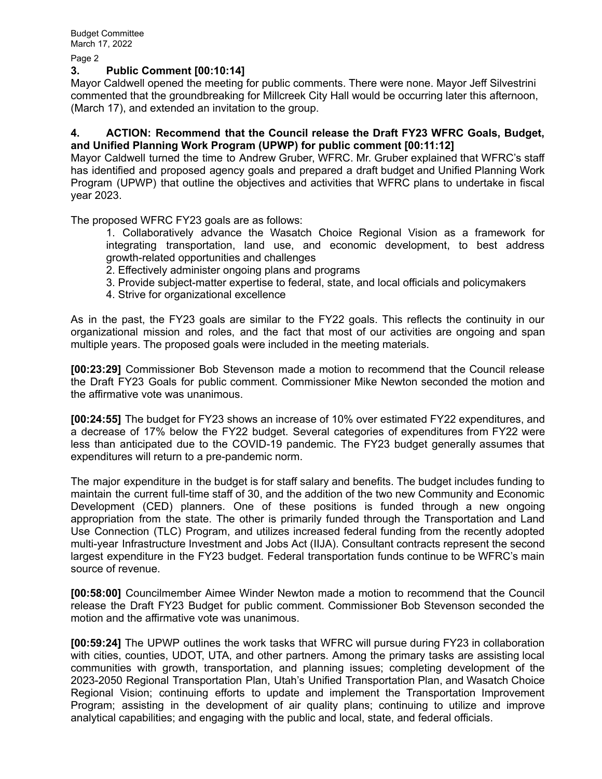Page 2

#### **3. Public Comment [00:10:14]**

Mayor Caldwell opened the meeting for public comments. There were none. Mayor Jeff Silvestrini commented that the groundbreaking for Millcreek City Hall would be occurring later this afternoon, (March 17), and extended an invitation to the group.

## **4. ACTION: Recommend that the Council release the Draft FY23 WFRC Goals, Budget, and Unified Planning Work Program (UPWP) for public comment [00:11:12]**

Mayor Caldwell turned the time to Andrew Gruber, WFRC. Mr. Gruber explained that WFRC's staff has identified and proposed agency goals and prepared a draft budget and Unified Planning Work Program (UPWP) that outline the objectives and activities that WFRC plans to undertake in fiscal year 2023.

The proposed WFRC FY23 goals are as follows:

1. Collaboratively advance the Wasatch Choice Regional Vision as a framework for integrating transportation, land use, and economic development, to best address growth-related opportunities and challenges

- 2. Effectively administer ongoing plans and programs
- 3. Provide subject-matter expertise to federal, state, and local officials and policymakers
- 4. Strive for organizational excellence

As in the past, the FY23 goals are similar to the FY22 goals. This reflects the continuity in our organizational mission and roles, and the fact that most of our activities are ongoing and span multiple years. The proposed goals were included in the meeting materials.

**[00:23:29]** Commissioner Bob Stevenson made a motion to recommend that the Council release the Draft FY23 Goals for public comment. Commissioner Mike Newton seconded the motion and the affirmative vote was unanimous.

**[00:24:55]** The budget for FY23 shows an increase of 10% over estimated FY22 expenditures, and a decrease of 17% below the FY22 budget. Several categories of expenditures from FY22 were less than anticipated due to the COVID-19 pandemic. The FY23 budget generally assumes that expenditures will return to a pre-pandemic norm.

The major expenditure in the budget is for staff salary and benefits. The budget includes funding to maintain the current full-time staff of 30, and the addition of the two new Community and Economic Development (CED) planners. One of these positions is funded through a new ongoing appropriation from the state. The other is primarily funded through the Transportation and Land Use Connection (TLC) Program, and utilizes increased federal funding from the recently adopted multi-year Infrastructure Investment and Jobs Act (IIJA). Consultant contracts represent the second largest expenditure in the FY23 budget. Federal transportation funds continue to be WFRC's main source of revenue.

**[00:58:00]** Councilmember Aimee Winder Newton made a motion to recommend that the Council release the Draft FY23 Budget for public comment. Commissioner Bob Stevenson seconded the motion and the affirmative vote was unanimous.

**[00:59:24]** The UPWP outlines the work tasks that WFRC will pursue during FY23 in collaboration with cities, counties, UDOT, UTA, and other partners. Among the primary tasks are assisting local communities with growth, transportation, and planning issues; completing development of the 2023-2050 Regional Transportation Plan, Utah's Unified Transportation Plan, and Wasatch Choice Regional Vision; continuing efforts to update and implement the Transportation Improvement Program; assisting in the development of air quality plans; continuing to utilize and improve analytical capabilities; and engaging with the public and local, state, and federal officials.